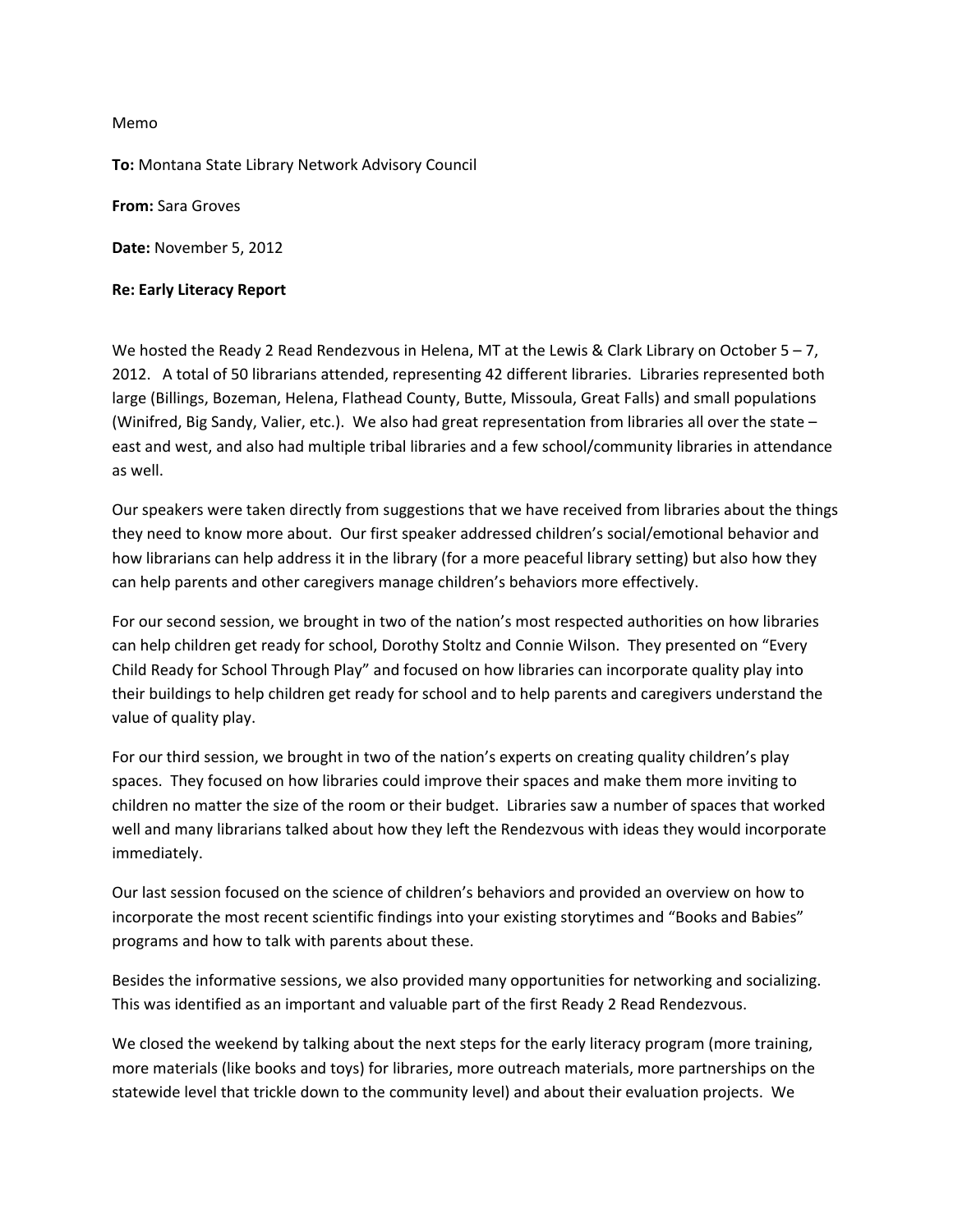## Memo

**To:** Montana State Library Network Advisory Council

**From:** Sara Groves

**Date:** November 5, 2012

## **Re: Early Literacy Report**

We hosted the Ready 2 Read Rendezvous in Helena, MT at the Lewis & Clark Library on October 5 – 7, 2012. A total of 50 librarians attended, representing 42 different libraries. Libraries represented both large (Billings, Bozeman, Helena, Flathead County, Butte, Missoula, Great Falls) and small populations (Winifred, Big Sandy, Valier, etc.). We also had great representation from libraries all over the state – east and west, and also had multiple tribal libraries and a few school/community libraries in attendance as well.

Our speakers were taken directly from suggestions that we have received from libraries about the things they need to know more about. Our first speaker addressed children's social/emotional behavior and how librarians can help address it in the library (for a more peaceful library setting) but also how they can help parents and other caregivers manage children's behaviors more effectively.

For our second session, we brought in two of the nation's most respected authorities on how libraries can help children get ready for school, Dorothy Stoltz and Connie Wilson. They presented on "Every Child Ready for School Through Play" and focused on how libraries can incorporate quality play into their buildings to help children get ready for school and to help parents and caregivers understand the value of quality play.

For our third session, we brought in two of the nation's experts on creating quality children's play spaces. They focused on how libraries could improve their spaces and make them more inviting to children no matter the size of the room or their budget. Libraries saw a number of spaces that worked well and many librarians talked about how they left the Rendezvous with ideas they would incorporate immediately.

Our last session focused on the science of children's behaviors and provided an overview on how to incorporate the most recent scientific findings into your existing storytimes and "Books and Babies" programs and how to talk with parents about these.

Besides the informative sessions, we also provided many opportunities for networking and socializing. This was identified as an important and valuable part of the first Ready 2 Read Rendezvous.

We closed the weekend by talking about the next steps for the early literacy program (more training, more materials (like books and toys) for libraries, more outreach materials, more partnerships on the statewide level that trickle down to the community level) and about their evaluation projects. We